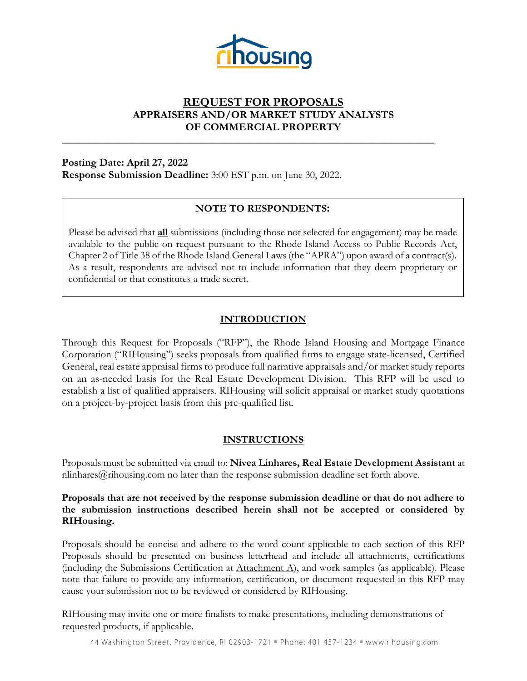

# **REQUEST FOR PROPOSALS APPRAISERS AND/OR MARKET STUDY ANALYSTS OF COMMERCIAL PROPERTY**

**\_\_\_\_\_\_\_\_\_\_\_\_\_\_\_\_\_\_\_\_\_\_\_\_\_\_\_\_\_\_\_\_\_\_\_\_\_\_\_\_\_\_\_\_\_\_\_\_\_\_\_\_\_\_\_\_\_\_\_\_\_\_\_\_\_\_\_\_\_\_\_\_** 

**Posting Date: April 27, 2022 Response Submission Deadline:** 3:00 EST p.m. on June 30, 2022.

# **NOTE TO RESPONDENTS:**

Please be advised that **all** submissions (including those not selected for engagement) may be made available to the public on request pursuant to the Rhode Island Access to Public Records Act, Chapter 2 of Title 38 of the Rhode Island General Laws (the "APRA") upon award of a contract(s). As a result, respondents are advised not to include information that they deem proprietary or confidential or that constitutes a trade secret.

# **INTRODUCTION**

Through this Request for Proposals ("RFP"), the Rhode Island Housing and Mortgage Finance Corporation ("RIHousing") seeks proposals from qualified firms to engage state-licensed, Certified General, real estate appraisal firms to produce full narrative appraisals and/or market study reports on an as-needed basis for the Real Estate Development Division. This RFP will be used to establish a list of qualified appraisers. RIHousing will solicit appraisal or market study quotations on a project-by-project basis from this pre-qualified list.

# **INSTRUCTIONS**

Proposals must be submitted via email to: **Nivea Linhares, Real Estate Development Assistant** at nlinhares@rihousing.com no later than the response submission deadline set forth above.

#### **Proposals that are not received by the response submission deadline or that do not adhere to the submission instructions described herein shall not be accepted or considered by RIHousing.**

Proposals should be concise and adhere to the word count applicable to each section of this RFP Proposals should be presented on business letterhead and include all attachments, certifications (including the Submissions Certification at  $\Delta$ ttachment  $\Delta$ ), and work samples (as applicable). Please note that failure to provide any information, certification, or document requested in this RFP may cause your submission not to be reviewed or considered by RIHousing.

RIHousing may invite one or more finalists to make presentations, including demonstrations of requested products, if applicable.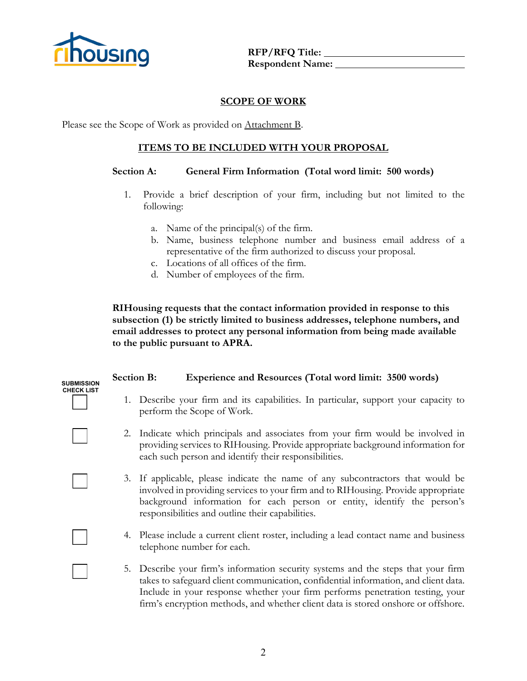

**CHECK LIST**

**OUSING** REP/RFQ Title: **Respondent Name:** 

#### **SCOPE OF WORK**

Please see the Scope of Work as provided on Attachment B.

### **ITEMS TO BE INCLUDED WITH YOUR PROPOSAL**

#### **Section A: General Firm Information (Total word limit: 500 words)**

- 1. Provide a brief description of your firm, including but not limited to the following:
	- a. Name of the principal(s) of the firm.
	- b. Name, business telephone number and business email address of a representative of the firm authorized to discuss your proposal.
	- c. Locations of all offices of the firm.
	- d. Number of employees of the firm.

**RIHousing requests that the contact information provided in response to this subsection (1) be strictly limited to business addresses, telephone numbers, and email addresses to protect any personal information from being made available to the public pursuant to APRA.** 

#### **Section B: Experience and Resources (Total word limit: 3500 words) SUBMISSION**

- 1. Describe your firm and its capabilities. In particular, support your capacity to perform the Scope of Work.
- 2. Indicate which principals and associates from your firm would be involved in providing services to RIHousing. Provide appropriate background information for each such person and identify their responsibilities.
- 3. If applicable, please indicate the name of any subcontractors that would be involved in providing services to your firm and to RIHousing. Provide appropriate background information for each person or entity, identify the person's responsibilities and outline their capabilities.
- 4. Please include a current client roster, including a lead contact name and business telephone number for each.
- 5. Describe your firm's information security systems and the steps that your firm takes to safeguard client communication, confidential information, and client data. Include in your response whether your firm performs penetration testing, your firm's encryption methods, and whether client data is stored onshore or offshore.

2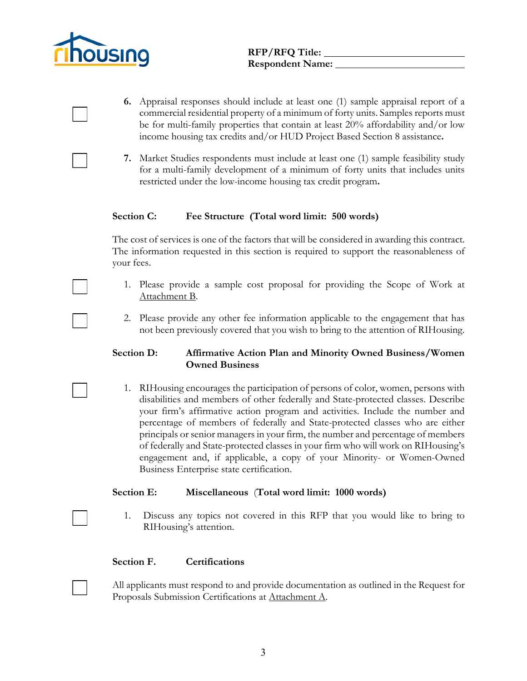

- **6.** Appraisal responses should include at least one (1) sample appraisal report of a commercial residential property of a minimum of forty units. Samples reports must be for multi-family properties that contain at least 20% affordability and/or low income housing tax credits and/or HUD Project Based Section 8 assistance**.**
- **7.** Market Studies respondents must include at least one (1) sample feasibility study for a multi-family development of a minimum of forty units that includes units restricted under the low-income housing tax credit program**.**

#### **Section C: Fee Structure (Total word limit: 500 words)**

The cost of services is one of the factors that will be considered in awarding this contract. The information requested in this section is required to support the reasonableness of your fees.

- 1. Please provide a sample cost proposal for providing the Scope of Work at Attachment B.
- 2. Please provide any other fee information applicable to the engagement that has not been previously covered that you wish to bring to the attention of RIHousing.

### **Section D: Affirmative Action Plan and Minority Owned Business/Women Owned Business**

1. RIHousing encourages the participation of persons of color, women, persons with disabilities and members of other federally and State-protected classes. Describe your firm's affirmative action program and activities. Include the number and percentage of members of federally and State-protected classes who are either principals or senior managers in your firm, the number and percentage of members of federally and State-protected classes in your firm who will work on RIHousing's engagement and, if applicable, a copy of your Minority- or Women-Owned Business Enterprise state certification.

#### **Section E: Miscellaneous** (**Total word limit: 1000 words)**

1. Discuss any topics not covered in this RFP that you would like to bring to RIHousing's attention.

#### **Section F. Certifications**

All applicants must respond to and provide documentation as outlined in the Request for Proposals Submission Certifications at Attachment A.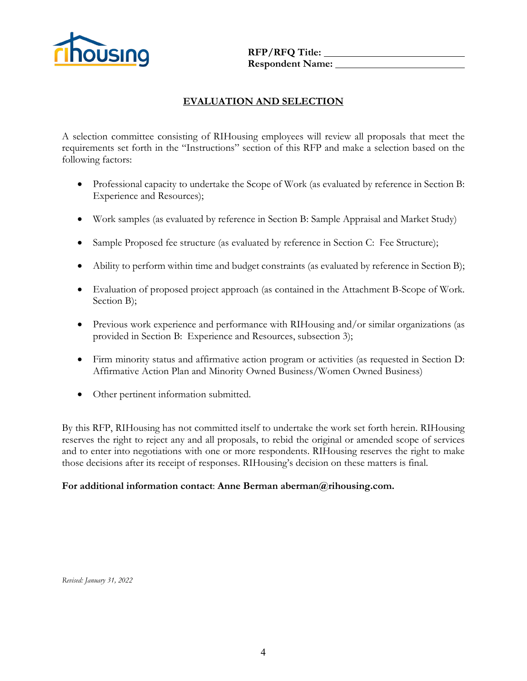

**RFP/RFQ Title:** Report of Manuscription Report of Manuscription Report of Manuscription Report of Manuscription Report of Manuscription Report of Manuscription Report of Manuscription Report of Manuscription Report of Man **Respondent Name:** 

# **EVALUATION AND SELECTION**

A selection committee consisting of RIHousing employees will review all proposals that meet the requirements set forth in the "Instructions" section of this RFP and make a selection based on the following factors:

- Professional capacity to undertake the Scope of Work (as evaluated by reference in Section B: Experience and Resources);
- Work samples (as evaluated by reference in Section B: Sample Appraisal and Market Study)
- Sample Proposed fee structure (as evaluated by reference in Section C: Fee Structure);
- Ability to perform within time and budget constraints (as evaluated by reference in Section B);
- Evaluation of proposed project approach (as contained in the Attachment B-Scope of Work. Section B);
- Previous work experience and performance with RIHousing and/or similar organizations (as provided in Section B: Experience and Resources, subsection 3);
- Firm minority status and affirmative action program or activities (as requested in Section D: Affirmative Action Plan and Minority Owned Business/Women Owned Business)
- Other pertinent information submitted.

By this RFP, RIHousing has not committed itself to undertake the work set forth herein. RIHousing reserves the right to reject any and all proposals, to rebid the original or amended scope of services and to enter into negotiations with one or more respondents. RIHousing reserves the right to make those decisions after its receipt of responses. RIHousing's decision on these matters is final.

#### **For additional information contact**: **Anne Berman aberman@rihousing.com.**

*Revised: January 31, 2022*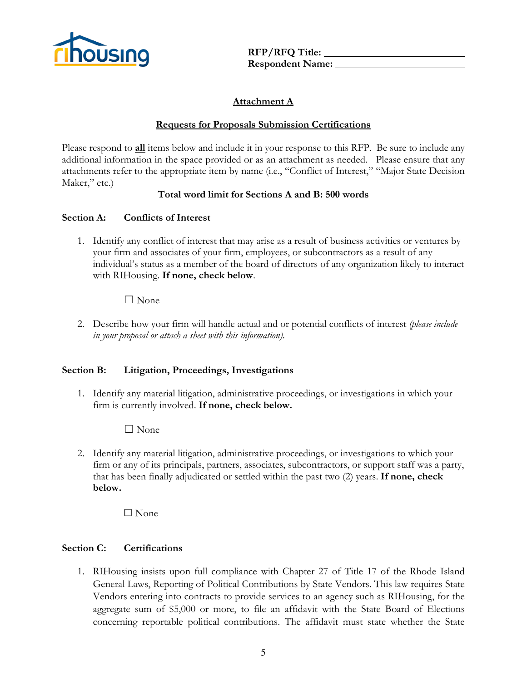

**OUSING** RFP/RFQ Title: **Respondent Name:** 

# **Attachment A**

### **Requests for Proposals Submission Certifications**

Please respond to **all** items below and include it in your response to this RFP. Be sure to include any additional information in the space provided or as an attachment as needed. Please ensure that any attachments refer to the appropriate item by name (i.e., "Conflict of Interest," "Major State Decision Maker," etc.)

### **Total word limit for Sections A and B: 500 words**

### **Section A: Conflicts of Interest**

1. Identify any conflict of interest that may arise as a result of business activities or ventures by your firm and associates of your firm, employees, or subcontractors as a result of any individual's status as a member of the board of directors of any organization likely to interact with RIHousing. **If none, check below**.

### $\Box$  None

2. Describe how your firm will handle actual and or potential conflicts of interest *(please include in your proposal or attach a sheet with this information).*

#### **Section B: Litigation, Proceedings, Investigations**

1. Identify any material litigation, administrative proceedings, or investigations in which your firm is currently involved. **If none, check below.**

 $\Box$  None

2. Identify any material litigation, administrative proceedings, or investigations to which your firm or any of its principals, partners, associates, subcontractors, or support staff was a party, that has been finally adjudicated or settled within the past two (2) years. **If none, check below.**

 $\Box$  None

#### **Section C: Certifications**

1. RIHousing insists upon full compliance with Chapter 27 of Title 17 of the Rhode Island General Laws, Reporting of Political Contributions by State Vendors. This law requires State Vendors entering into contracts to provide services to an agency such as RIHousing, for the aggregate sum of \$5,000 or more, to file an affidavit with the State Board of Elections concerning reportable political contributions. The affidavit must state whether the State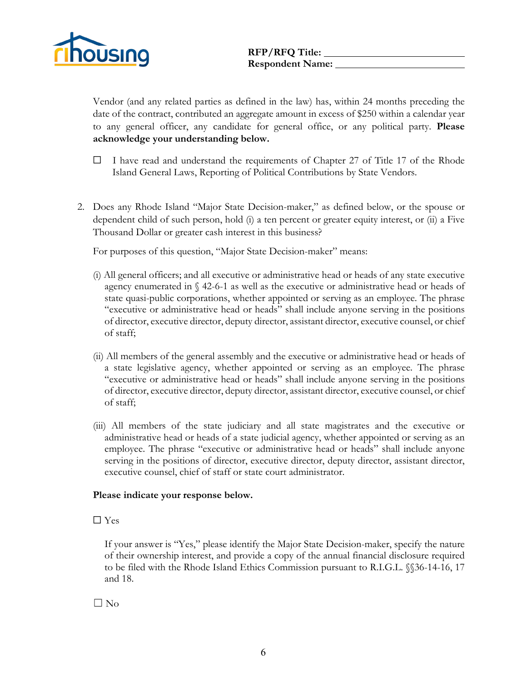

Vendor (and any related parties as defined in the law) has, within 24 months preceding the date of the contract, contributed an aggregate amount in excess of \$250 within a calendar year to any general officer, any candidate for general office, or any political party. **Please acknowledge your understanding below.**

- $\Box$  I have read and understand the requirements of Chapter 27 of Title 17 of the Rhode Island General Laws, Reporting of Political Contributions by State Vendors.
- 2. Does any Rhode Island "Major State Decision-maker," as defined below, or the spouse or dependent child of such person, hold (i) a ten percent or greater equity interest, or (ii) a Five Thousand Dollar or greater cash interest in this business?

For purposes of this question, "Major State Decision-maker" means:

- (i) All general officers; and all executive or administrative head or heads of any state executive agency enumerated in  $\S$  42-6-1 as well as the executive or administrative head or heads of state quasi-public corporations, whether appointed or serving as an employee. The phrase "executive or administrative head or heads" shall include anyone serving in the positions of director, executive director, deputy director, assistant director, executive counsel, or chief of staff;
- (ii) All members of the general assembly and the executive or administrative head or heads of a state legislative agency, whether appointed or serving as an employee. The phrase "executive or administrative head or heads" shall include anyone serving in the positions of director, executive director, deputy director, assistant director, executive counsel, or chief of staff;
- (iii) All members of the state judiciary and all state magistrates and the executive or administrative head or heads of a state judicial agency, whether appointed or serving as an employee. The phrase "executive or administrative head or heads" shall include anyone serving in the positions of director, executive director, deputy director, assistant director, executive counsel, chief of staff or state court administrator.

#### **Please indicate your response below.**

#### ☐ Yes

If your answer is "Yes," please identify the Major State Decision-maker, specify the nature of their ownership interest, and provide a copy of the annual financial disclosure required to be filed with the Rhode Island Ethics Commission pursuant to R.I.G.L. §§36-14-16, 17 and 18.

 $\Box$  No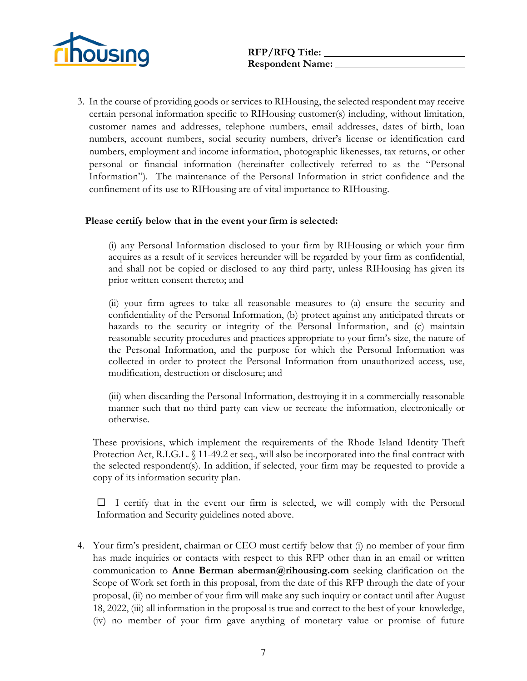

3. In the course of providing goods or services to RIHousing, the selected respondent may receive certain personal information specific to RIHousing customer(s) including, without limitation, customer names and addresses, telephone numbers, email addresses, dates of birth, loan numbers, account numbers, social security numbers, driver's license or identification card numbers, employment and income information, photographic likenesses, tax returns, or other personal or financial information (hereinafter collectively referred to as the "Personal Information"). The maintenance of the Personal Information in strict confidence and the confinement of its use to RIHousing are of vital importance to RIHousing.

#### **Please certify below that in the event your firm is selected:**

(i) any Personal Information disclosed to your firm by RIHousing or which your firm acquires as a result of it services hereunder will be regarded by your firm as confidential, and shall not be copied or disclosed to any third party, unless RIHousing has given its prior written consent thereto; and

(ii) your firm agrees to take all reasonable measures to (a) ensure the security and confidentiality of the Personal Information, (b) protect against any anticipated threats or hazards to the security or integrity of the Personal Information, and (c) maintain reasonable security procedures and practices appropriate to your firm's size, the nature of the Personal Information, and the purpose for which the Personal Information was collected in order to protect the Personal Information from unauthorized access, use, modification, destruction or disclosure; and

(iii) when discarding the Personal Information, destroying it in a commercially reasonable manner such that no third party can view or recreate the information, electronically or otherwise.

These provisions, which implement the requirements of the Rhode Island Identity Theft Protection Act, R.I.G.L. § 11-49.2 et seq., will also be incorporated into the final contract with the selected respondent(s). In addition, if selected, your firm may be requested to provide a copy of its information security plan.

 $\Box$  I certify that in the event our firm is selected, we will comply with the Personal Information and Security guidelines noted above.

4. Your firm's president, chairman or CEO must certify below that (i) no member of your firm has made inquiries or contacts with respect to this RFP other than in an email or written communication to **Anne Berman aberman@rihousing.com** seeking clarification on the Scope of Work set forth in this proposal, from the date of this RFP through the date of your proposal, (ii) no member of your firm will make any such inquiry or contact until after August 18, 2022, (iii) all information in the proposal is true and correct to the best of your knowledge, (iv) no member of your firm gave anything of monetary value or promise of future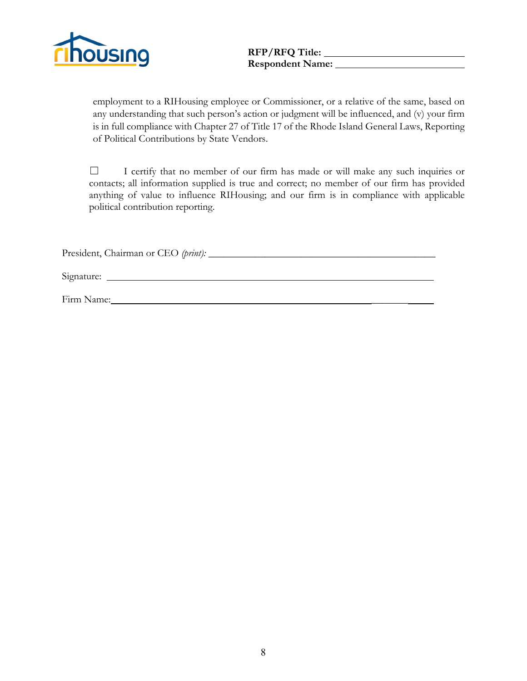

# Respondent Name:

employment to a RIHousing employee or Commissioner, or a relative of the same, based on any understanding that such person's action or judgment will be influenced, and (v) your firm is in full compliance with Chapter 27 of Title 17 of the Rhode Island General Laws, Reporting of Political Contributions by State Vendors.

☐ I certify that no member of our firm has made or will make any such inquiries or contacts; all information supplied is true and correct; no member of our firm has provided anything of value to influence RIHousing; and our firm is in compliance with applicable political contribution reporting.

President, Chairman or CEO *(print):* \_\_\_\_\_\_\_\_\_\_\_\_\_\_\_\_\_\_\_\_\_\_\_\_\_\_\_\_\_\_\_\_\_\_\_\_\_\_\_\_\_\_\_\_

Signature:

Firm Name: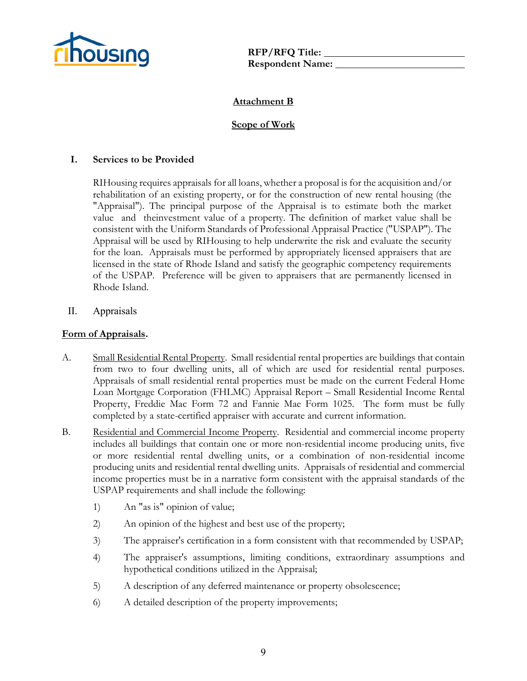

**Respondent Name:** 

# **Attachment B**

### **Scope of Work**

#### **I. Services to be Provided**

RIHousing requires appraisals for all loans, whether a proposal is for the acquisition and/or rehabilitation of an existing property, or for the construction of new rental housing (the "Appraisal"). The principal purpose of the Appraisal is to estimate both the market value and theinvestment value of a property. The definition of market value shall be consistent with the Uniform Standards of Professional Appraisal Practice ("USPAP"). The Appraisal will be used by RIHousing to help underwrite the risk and evaluate the security for the loan. Appraisals must be performed by appropriately licensed appraisers that are licensed in the state of Rhode Island and satisfy the geographic competency requirements of the USPAP. Preference will be given to appraisers that are permanently licensed in Rhode Island.

#### II. Appraisals

#### **Form of Appraisals.**

- A. Small Residential Rental Property. Small residential rental properties are buildings that contain from two to four dwelling units, all of which are used for residential rental purposes. Appraisals of small residential rental properties must be made on the current Federal Home Loan Mortgage Corporation (FHLMC) Appraisal Report – Small Residential Income Rental Property, Freddie Mac Form 72 and Fannie Mae Form 1025. The form must be fully completed by a state-certified appraiser with accurate and current information.
- B. Residential and Commercial Income Property. Residential and commercial income property includes all buildings that contain one or more non-residential income producing units, five or more residential rental dwelling units, or a combination of non-residential income producing units and residential rental dwelling units. Appraisals of residential and commercial income properties must be in a narrative form consistent with the appraisal standards of the USPAP requirements and shall include the following:
	- 1) An "as is" opinion of value;
	- 2) An opinion of the highest and best use of the property;
	- 3) The appraiser's certification in a form consistent with that recommended by USPAP;
	- 4) The appraiser's assumptions, limiting conditions, extraordinary assumptions and hypothetical conditions utilized in the Appraisal;
	- 5) A description of any deferred maintenance or property obsolescence;
	- 6) A detailed description of the property improvements;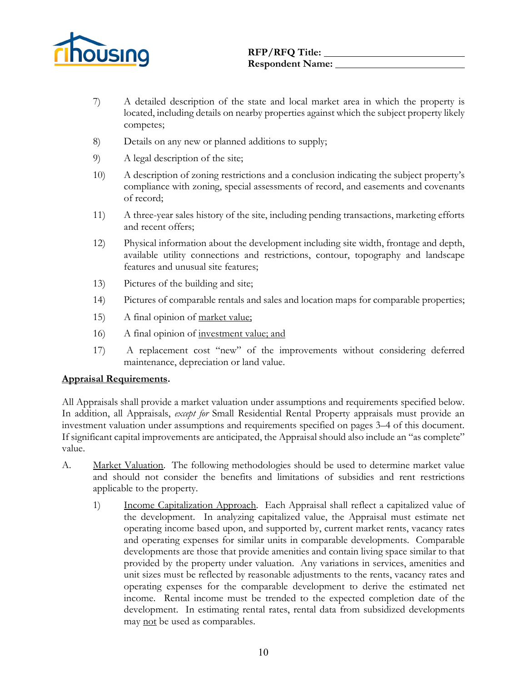

- 7) A detailed description of the state and local market area in which the property is located, including details on nearby properties against which the subject property likely competes;
- 8) Details on any new or planned additions to supply;
- 9) A legal description of the site;
- 10) A description of zoning restrictions and a conclusion indicating the subject property's compliance with zoning, special assessments of record, and easements and covenants of record;
- 11) A three-year sales history of the site, including pending transactions, marketing efforts and recent offers;
- 12) Physical information about the development including site width, frontage and depth, available utility connections and restrictions, contour, topography and landscape features and unusual site features;
- 13) Pictures of the building and site;
- 14) Pictures of comparable rentals and sales and location maps for comparable properties;
- 15) A final opinion of market value;
- 16) A final opinion of investment value; and
- 17) A replacement cost "new" of the improvements without considering deferred maintenance, depreciation or land value.

#### **Appraisal Requirements.**

All Appraisals shall provide a market valuation under assumptions and requirements specified below. In addition, all Appraisals, *except for* Small Residential Rental Property appraisals must provide an investment valuation under assumptions and requirements specified on pages 3–4 of this document. If significant capital improvements are anticipated, the Appraisal should also include an "as complete" value.

- A. Market Valuation. The following methodologies should be used to determine market value and should not consider the benefits and limitations of subsidies and rent restrictions applicable to the property.
	- 1) Income Capitalization Approach. Each Appraisal shall reflect a capitalized value of the development. In analyzing capitalized value, the Appraisal must estimate net operating income based upon, and supported by, current market rents, vacancy rates and operating expenses for similar units in comparable developments. Comparable developments are those that provide amenities and contain living space similar to that provided by the property under valuation. Any variations in services, amenities and unit sizes must be reflected by reasonable adjustments to the rents, vacancy rates and operating expenses for the comparable development to derive the estimated net income. Rental income must be trended to the expected completion date of the development. In estimating rental rates, rental data from subsidized developments may not be used as comparables.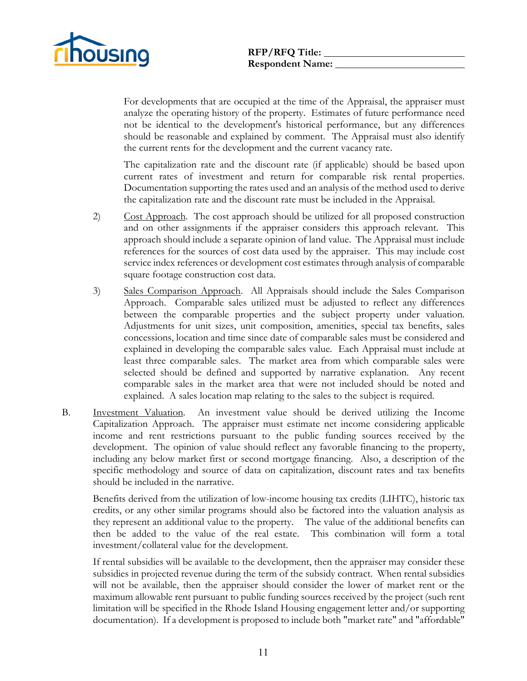

For developments that are occupied at the time of the Appraisal, the appraiser must analyze the operating history of the property. Estimates of future performance need not be identical to the development's historical performance, but any differences should be reasonable and explained by comment. The Appraisal must also identify the current rents for the development and the current vacancy rate.

The capitalization rate and the discount rate (if applicable) should be based upon current rates of investment and return for comparable risk rental properties. Documentation supporting the rates used and an analysis of the method used to derive the capitalization rate and the discount rate must be included in the Appraisal.

- 2) Cost Approach. The cost approach should be utilized for all proposed construction and on other assignments if the appraiser considers this approach relevant. This approach should include a separate opinion of land value. The Appraisal must include references for the sources of cost data used by the appraiser. This may include cost service index references or development cost estimates through analysis of comparable square footage construction cost data.
- 3) Sales Comparison Approach. All Appraisals should include the Sales Comparison Approach. Comparable sales utilized must be adjusted to reflect any differences between the comparable properties and the subject property under valuation. Adjustments for unit sizes, unit composition, amenities, special tax benefits, sales concessions, location and time since date of comparable sales must be considered and explained in developing the comparable sales value. Each Appraisal must include at least three comparable sales. The market area from which comparable sales were selected should be defined and supported by narrative explanation. Any recent comparable sales in the market area that were not included should be noted and explained. A sales location map relating to the sales to the subject is required.
- B. Investment Valuation. An investment value should be derived utilizing the Income Capitalization Approach. The appraiser must estimate net income considering applicable income and rent restrictions pursuant to the public funding sources received by the development. The opinion of value should reflect any favorable financing to the property, including any below market first or second mortgage financing. Also, a description of the specific methodology and source of data on capitalization, discount rates and tax benefits should be included in the narrative.

Benefits derived from the utilization of low-income housing tax credits (LIHTC), historic tax credits, or any other similar programs should also be factored into the valuation analysis as they represent an additional value to the property. The value of the additional benefits can then be added to the value of the real estate. This combination will form a total investment/collateral value for the development.

If rental subsidies will be available to the development, then the appraiser may consider these subsidies in projected revenue during the term of the subsidy contract. When rental subsidies will not be available, then the appraiser should consider the lower of market rent or the maximum allowable rent pursuant to public funding sources received by the project (such rent limitation will be specified in the Rhode Island Housing engagement letter and/or supporting documentation). If a development is proposed to include both "market rate" and "affordable"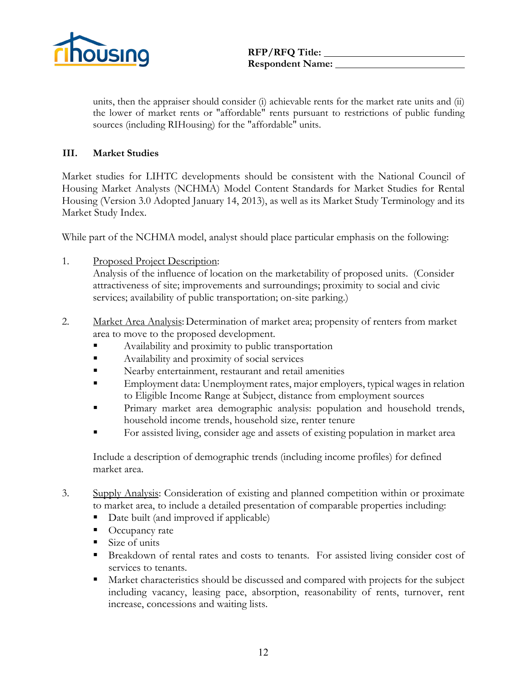

units, then the appraiser should consider (i) achievable rents for the market rate units and (ii) the lower of market rents or "affordable" rents pursuant to restrictions of public funding sources (including RIHousing) for the "affordable" units.

#### **III. Market Studies**

Market studies for LIHTC developments should be consistent with the National Council of Housing Market Analysts (NCHMA) Model Content Standards for Market Studies for Rental Housing (Version 3.0 Adopted January 14, 2013), as well as its Market Study Terminology and its Market Study Index.

While part of the NCHMA model, analyst should place particular emphasis on the following:

1. Proposed Project Description:

Analysis of the influence of location on the marketability of proposed units. (Consider attractiveness of site; improvements and surroundings; proximity to social and civic services; availability of public transportation; on-site parking.)

- 2. Market Area Analysis: Determination of market area; propensity of renters from market area to move to the proposed development.
	- **Example 3** Availability and proximity to public transportation
	- Availability and proximity of social services
	- **Nearby entertainment, restaurant and retail amenities**
	- Employment data: Unemployment rates, major employers, typical wages in relation to Eligible Income Range at Subject, distance from employment sources
	- **Primary market area demographic analysis: population and household trends,** household income trends, household size, renter tenure
	- For assisted living, consider age and assets of existing population in market area

Include a description of demographic trends (including income profiles) for defined market area.

- 3. Supply Analysis: Consideration of existing and planned competition within or proximate to market area, to include a detailed presentation of comparable properties including:
	- Date built (and improved if applicable)
	- Occupancy rate
	- Size of units
	- Breakdown of rental rates and costs to tenants. For assisted living consider cost of services to tenants.
	- Market characteristics should be discussed and compared with projects for the subject including vacancy, leasing pace, absorption, reasonability of rents, turnover, rent increase, concessions and waiting lists.